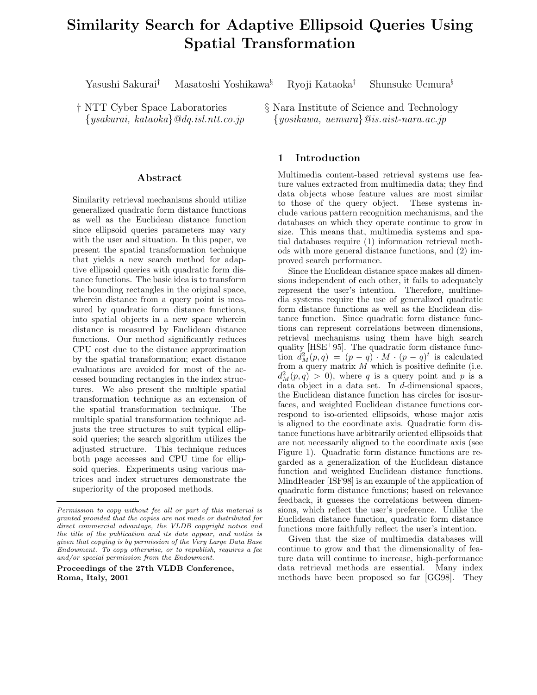# **Similarity Search for Adaptive Ellipsoid Queries Using Spatial Transformation**

Yasushi Sakurai*†* Masatoshi Yoshikawa*§* Ryoji Kataoka*†* Shunsuke Uemura*§*

† NTT Cyber Space Laboratories {*ysakurai, kataoka*}*@dq.isl.ntt.co.jp*

## **Abstract**

Similarity retrieval mechanisms should utilize generalized quadratic form distance functions as well as the Euclidean distance function since ellipsoid queries parameters may vary with the user and situation. In this paper, we present the spatial transformation technique that yields a new search method for adaptive ellipsoid queries with quadratic form distance functions. The basic idea is to transform the bounding rectangles in the original space, wherein distance from a query point is measured by quadratic form distance functions, into spatial objects in a new space wherein distance is measured by Euclidean distance functions. Our method significantly reduces CPU cost due to the distance approximation by the spatial transformation; exact distance evaluations are avoided for most of the accessed bounding rectangles in the index structures. We also present the multiple spatial transformation technique as an extension of the spatial transformation technique. The multiple spatial transformation technique adjusts the tree structures to suit typical ellipsoid queries; the search algorithm utilizes the adjusted structure. This technique reduces both page accesses and CPU time for ellipsoid queries. Experiments using various matrices and index structures demonstrate the superiority of the proposed methods.

**Proceedings of the 27th VLDB Conference, Roma, Italy, 2001**

§ Nara Institute of Science and Technology {*yosikawa, uemura*}*@is.aist-nara.ac.jp*

# **1 Introduction**

Multimedia content-based retrieval systems use feature values extracted from multimedia data; they find data objects whose feature values are most similar to those of the query object. These systems include various pattern recognition mechanisms, and the databases on which they operate continue to grow in size. This means that, multimedia systems and spatial databases require (1) information retrieval methods with more general distance functions, and (2) improved search performance.

Since the Euclidean distance space makes all dimensions independent of each other, it fails to adequately represent the user's intention. Therefore, multimedia systems require the use of generalized quadratic form distance functions as well as the Euclidean distance function. Since quadratic form distance functions can represent correlations between dimensions, retrieval mechanisms using them have high search quality [HSE<sup>+</sup>95]. The quadratic form distance function  $d_M^2(p,q) = (p - q) \cdot M \cdot (p - q)^t$  is calculated from a query matrix  $M$  which is positive definite (i.e.  $d_M^2(p,q) > 0$ , where q is a query point and p is a data object in a data set. In d-dimensional spaces, the Euclidean distance function has circles for isosurfaces, and weighted Euclidean distance functions correspond to iso-oriented ellipsoids, whose major axis is aligned to the coordinate axis. Quadratic form distance functions have arbitrarily oriented ellipsoids that are not necessarily aligned to the coordinate axis (see Figure 1). Quadratic form distance functions are regarded as a generalization of the Euclidean distance function and weighted Euclidean distance functions. MindReader [ISF98] is an example of the application of quadratic form distance functions; based on relevance feedback, it guesses the correlations between dimensions, which reflect the user's preference. Unlike the Euclidean distance function, quadratic form distance functions more faithfully reflect the user's intention.

Given that the size of multimedia databases will continue to grow and that the dimensionality of feature data will continue to increase, high-performance data retrieval methods are essential. Many index methods have been proposed so far [GG98]. They

*Permission to copy without fee all or part of this material is granted provided that the copies are not made or distributed for direct commercial advantage, the VLDB copyright notice and the title of the publication and its date appear, and notice is given that copying is by permission of the Very Large Data Base Endowment. To copy otherwise, or to republish, requires a fee and/or special permission from the Endowment.*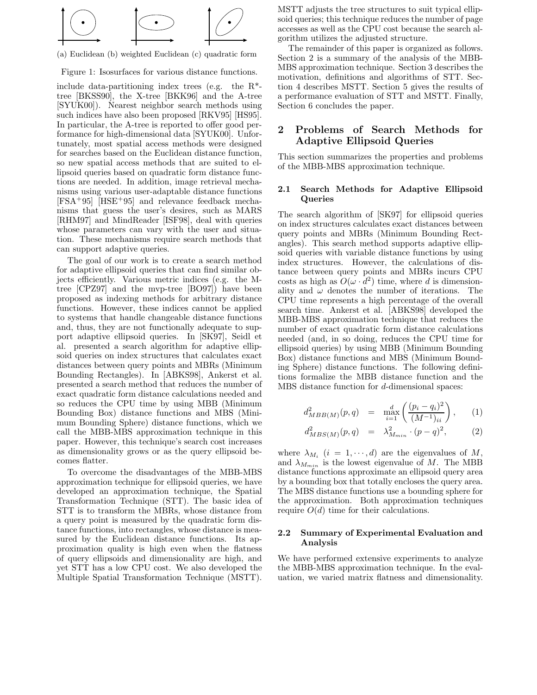

(a) Euclidean (b) weighted Euclidean (c) quadratic form

Figure 1: Isosurfaces for various distance functions.

include data-partitioning index trees (e.g. the  $R^*$ tree [BKSS90], the X-tree [BKK96] and the A-tree [SYUK00]). Nearest neighbor search methods using such indices have also been proposed [RKV95] [HS95]. In particular, the A-tree is reported to offer good performance for high-dimensional data [SYUK00]. Unfortunately, most spatial access methods were designed for searches based on the Euclidean distance function, so new spatial access methods that are suited to ellipsoid queries based on quadratic form distance functions are needed. In addition, image retrieval mechanisms using various user-adaptable distance functions [FSA+95] [HSE+95] and relevance feedback mechanisms that guess the user's desires, such as MARS [RHM97] and MindReader [ISF98], deal with queries whose parameters can vary with the user and situation. These mechanisms require search methods that can support adaptive queries.

The goal of our work is to create a search method for adaptive ellipsoid queries that can find similar objects efficiently. Various metric indices (e.g. the Mtree [CPZ97] and the mvp-tree [BO97]) have been proposed as indexing methods for arbitrary distance functions. However, these indices cannot be applied to systems that handle changeable distance functions and, thus, they are not functionally adequate to support adaptive ellipsoid queries. In [SK97], Seidl et al. presented a search algorithm for adaptive ellipsoid queries on index structures that calculates exact distances between query points and MBRs (Minimum Bounding Rectangles). In [ABKS98], Ankerst et al. presented a search method that reduces the number of exact quadratic form distance calculations needed and so reduces the CPU time by using MBB (Minimum Bounding Box) distance functions and MBS (Minimum Bounding Sphere) distance functions, which we call the MBB-MBS approximation technique in this paper. However, this technique's search cost increases as dimensionality grows or as the query ellipsoid becomes flatter.

To overcome the disadvantages of the MBB-MBS approximation technique for ellipsoid queries, we have developed an approximation technique, the Spatial Transformation Technique (STT). The basic idea of STT is to transform the MBRs, whose distance from a query point is measured by the quadratic form distance functions, into rectangles, whose distance is measured by the Euclidean distance functions. Its approximation quality is high even when the flatness of query ellipsoids and dimensionality are high, and yet STT has a low CPU cost. We also developed the Multiple Spatial Transformation Technique (MSTT).

MSTT adjusts the tree structures to suit typical ellipsoid queries; this technique reduces the number of page accesses as well as the CPU cost because the search algorithm utilizes the adjusted structure.

The remainder of this paper is organized as follows. Section 2 is a summary of the analysis of the MBB-MBS approximation technique. Section 3 describes the motivation, definitions and algorithms of STT. Section 4 describes MSTT. Section 5 gives the results of a performance evaluation of STT and MSTT. Finally, Section 6 concludes the paper.

# **2 Problems of Search Methods for Adaptive Ellipsoid Queries**

This section summarizes the properties and problems of the MBB-MBS approximation technique.

## **2.1 Search Methods for Adaptive Ellipsoid Queries**

The search algorithm of [SK97] for ellipsoid queries on index structures calculates exact distances between query points and MBRs (Minimum Bounding Rectangles). This search method supports adaptive ellipsoid queries with variable distance functions by using index structures. However, the calculations of distance between query points and MBRs incurs CPU costs as high as  $O(\omega \cdot d^2)$  time, where d is dimensionality and  $\omega$  denotes the number of iterations. The CPU time represents a high percentage of the overall search time. Ankerst et al. [ABKS98] developed the MBB-MBS approximation technique that reduces the number of exact quadratic form distance calculations needed (and, in so doing, reduces the CPU time for ellipsoid queries) by using MBB (Minimum Bounding Box) distance functions and MBS (Minimum Bounding Sphere) distance functions. The following definitions formalize the MBB distance function and the MBS distance function for d-dimensional spaces:

$$
d_{MBB(M)}^2(p,q) = \max_{i=1}^d \left( \frac{(p_i - q_i)^2}{(M^{-1})_{ii}} \right), \quad (1)
$$

$$
d_{MBS(M)}^2(p,q) = \lambda_{M_{min}}^2 \cdot (p-q)^2, \tag{2}
$$

where  $\lambda_{M_i}$  ( $i = 1, \dots, d$ ) are the eigenvalues of M, and  $\lambda_{M_{min}}$  is the lowest eigenvalue of M. The MBB distance functions approximate an ellipsoid query area by a bounding box that totally encloses the query area. The MBS distance functions use a bounding sphere for the approximation. Both approximation techniques require  $O(d)$  time for their calculations.

## **2.2 Summary of Experimental Evaluation and Analysis**

We have performed extensive experiments to analyze the MBB-MBS approximation technique. In the evaluation, we varied matrix flatness and dimensionality.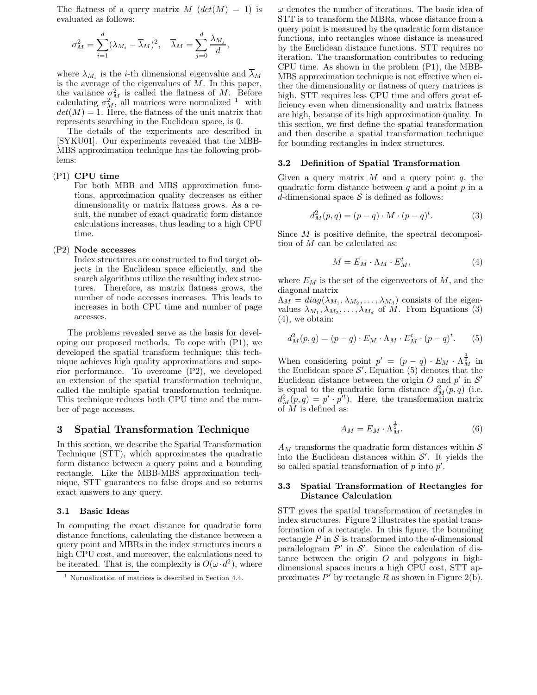The flatness of a query matrix  $M$  ( $det(M) = 1$ ) is evaluated as follows:

$$
\sigma_M^2 = \sum_{i=1}^d (\lambda_{M_i} - \overline{\lambda}_M)^2, \quad \overline{\lambda}_M = \sum_{j=0}^d \frac{\lambda_{M_j}}{d},
$$

where  $\lambda_{M_i}$  is the *i*-th dimensional eigenvalue and  $\lambda_M$ is the average of the eigenvalues of  $M$ . In this paper, the variance  $\sigma_M^2$  is called the flatness of M. Before calculating  $\sigma_M^2$ , all matrices were normalized <sup>1</sup> with  $det(M) = 1$ . Here, the flatness of the unit matrix that represents searching in the Euclidean space, is 0.

The details of the experiments are described in [SYKU01]. Our experiments revealed that the MBB-MBS approximation technique has the following problems:

## (P1) **CPU time**

For both MBB and MBS approximation functions, approximation quality decreases as either dimensionality or matrix flatness grows. As a result, the number of exact quadratic form distance calculations increases, thus leading to a high CPU time.

#### (P2) **Node accesses**

Index structures are constructed to find target objects in the Euclidean space efficiently, and the search algorithms utilize the resulting index structures. Therefore, as matrix flatness grows, the number of node accesses increases. This leads to increases in both CPU time and number of page accesses.

The problems revealed serve as the basis for developing our proposed methods. To cope with (P1), we developed the spatial transform technique; this technique achieves high quality approximations and superior performance. To overcome (P2), we developed an extension of the spatial transformation technique, called the multiple spatial transformation technique. This technique reduces both CPU time and the number of page accesses.

## **3 Spatial Transformation Technique**

In this section, we describe the Spatial Transformation Technique (STT), which approximates the quadratic form distance between a query point and a bounding rectangle. Like the MBB-MBS approximation technique, STT guarantees no false drops and so returns exact answers to any query.

## **3.1 Basic Ideas**

In computing the exact distance for quadratic form distance functions, calculating the distance between a query point and MBRs in the index structures incurs a high CPU cost, and moreover, the calculations need to be iterated. That is, the complexity is  $O(\omega \cdot d^2)$ , where  $\omega$  denotes the number of iterations. The basic idea of STT is to transform the MBRs, whose distance from a query point is measured by the quadratic form distance functions, into rectangles whose distance is measured by the Euclidean distance functions. STT requires no iteration. The transformation contributes to reducing CPU time. As shown in the problem (P1), the MBB-MBS approximation technique is not effective when either the dimensionality or flatness of query matrices is high. STT requires less CPU time and offers great efficiency even when dimensionality and matrix flatness are high, because of its high approximation quality. In this section, we first define the spatial transformation and then describe a spatial transformation technique for bounding rectangles in index structures.

#### **3.2 Definition of Spatial Transformation**

Given a query matrix  $M$  and a query point  $q$ , the quadratic form distance between  $q$  and a point  $p$  in a d-dimensional space  $S$  is defined as follows:

$$
d_M^2(p,q) = (p-q) \cdot M \cdot (p-q)^t. \tag{3}
$$

Since  $M$  is positive definite, the spectral decomposition of M can be calculated as:

$$
M = E_M \cdot \Lambda_M \cdot E_M^t,\tag{4}
$$

where  $E_M$  is the set of the eigenvectors of  $M$ , and the diagonal matrix

 $\Lambda_M = diag(\lambda_{M_1}, \lambda_{M_2}, \ldots, \lambda_{M_d})$  consists of the eigenvalues  $\lambda_{M_1}, \lambda_{M_2}, \ldots, \lambda_{M_d}$  of M. From Equations (3) (4), we obtain:

$$
d_M^2(p,q) = (p-q) \cdot E_M \cdot \Lambda_M \cdot E_M^t \cdot (p-q)^t. \tag{5}
$$

When considering point  $p' = (p - q) \cdot E_M \cdot \Lambda_M^{\frac{1}{2}}$  in the Euclidean space  $\mathcal{S}'$ , Equation (5) denotes that the Euclidean distance between the origin O and  $p'$  in  $\mathcal{S}'$ is equal to the quadratic form distance  $d_M^2(p,q)$  (i.e.  $d_M^2(p,q) = p' \cdot p'^t$ . Here, the transformation matrix of  $\overline{M}$  is defined as:

$$
A_M = E_M \cdot \Lambda_M^{\frac{1}{2}}.\t\t(6)
$$

 $A_M$  transforms the quadratic form distances within  $S$ into the Euclidean distances within  $\mathcal{S}'$ . It yields the so called spatial transformation of  $p$  into  $p'$ .

## **3.3 Spatial Transformation of Rectangles for Distance Calculation**

STT gives the spatial transformation of rectangles in index structures. Figure 2 illustrates the spatial transformation of a rectangle. In this figure, the bounding rectangle  $P$  in  $S$  is transformed into the d-dimensional parallelogram  $P'$  in  $S'$ . Since the calculation of distance between the origin  $O$  and polygons in highdimensional spaces incurs a high CPU cost, STT approximates  $P'$  by rectangle R as shown in Figure 2(b).

<sup>1</sup> Normalization of matrices is described in Section 4.4.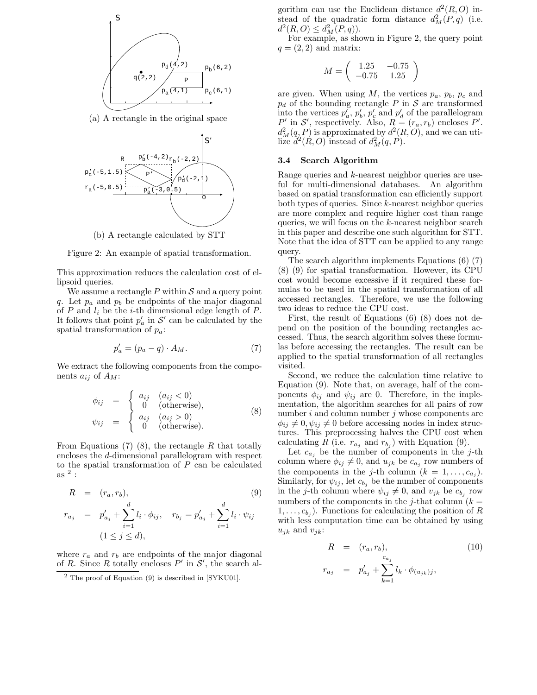

(a) A rectangle in the original space



(b) A rectangle calculated by STT



This approximation reduces the calculation cost of ellipsoid queries.

We assume a rectangle  $P$  within  $S$  and a query point q. Let  $p_a$  and  $p_b$  be endpoints of the major diagonal of  $P$  and  $l_i$  be the *i*-th dimensional edge length of  $P$ . It follows that point  $p'_a$  in  $\mathcal{S}'$  can be calculated by the spatial transformation of p*a*:

$$
p'_a = (p_a - q) \cdot A_M. \tag{7}
$$

We extract the following components from the components  $a_{ij}$  of  $A_M$ :

$$
\begin{array}{rcl}\n\phi_{ij} & = & \begin{cases}\n a_{ij} & (a_{ij} < 0) \\
 0 & (\text{otherwise}), \\
 a_{ij} & (a_{ij} > 0)\n\end{cases} \\
\psi_{ij} & = & \begin{cases}\n a_{ij} & (a_{ij} > 0) \\
 0 & (\text{otherwise}).\n\end{cases}\n\end{array}\n\tag{8}
$$

From Equations  $(7)$   $(8)$ , the rectangle R that totally encloses the d-dimensional parallelogram with respect to the spatial transformation of P can be calculated as  $^2$  :

$$
R = (r_a, r_b),
$$
\n
$$
r_{a_j} = p'_{a_j} + \sum_{i=1}^d l_i \cdot \phi_{ij}, \quad r_{b_j} = p'_{a_j} + \sum_{i=1}^d l_i \cdot \psi_{ij}
$$
\n
$$
(1 \le j \le d),
$$
\n
$$
(9)
$$

where  $r_a$  and  $r_b$  are endpoints of the major diagonal of R. Since R totally encloses  $P'$  in  $S'$ , the search algorithm can use the Euclidean distance  $d^2(R, O)$  instead of the quadratic form distance  $d_M^2(P,q)$  (i.e.  $d^2(R, O) \leq d^2(M(P, q)).$ 

For example, as shown in Figure 2, the query point  $q = (2, 2)$  and matrix:

$$
M = \left(\begin{array}{cc} 1.25 & -0.75 \\ -0.75 & 1.25 \end{array}\right)
$$

are given. When using  $M$ , the vertices  $p_a$ ,  $p_b$ ,  $p_c$  and  $p_d$  of the bounding rectangle P in S are transformed into the vertices  $p'_a, p'_b, p'_c$  and  $p'_d$  of the parallelogram  $P'$  in S', respectively. Also,  $R = (r_a, r_b)$  encloses P'.  $d_M^2(q, P)$  is approximated by  $d^2(R, O)$ , and we can utilize  $d^2(R, O)$  instead of  $d^2_M(q, P)$ .

#### **3.4 Search Algorithm**

Range queries and k-nearest neighbor queries are useful for multi-dimensional databases. An algorithm based on spatial transformation can efficiently support both types of queries. Since k-nearest neighbor queries are more complex and require higher cost than range queries, we will focus on the k-nearest neighbor search in this paper and describe one such algorithm for STT. Note that the idea of STT can be applied to any range query.

The search algorithm implements Equations (6) (7) (8) (9) for spatial transformation. However, its CPU cost would become excessive if it required these formulas to be used in the spatial transformation of all accessed rectangles. Therefore, we use the following two ideas to reduce the CPU cost.

First, the result of Equations (6) (8) does not depend on the position of the bounding rectangles accessed. Thus, the search algorithm solves these formulas before accessing the rectangles. The result can be applied to the spatial transformation of all rectangles visited.

Second, we reduce the calculation time relative to Equation (9). Note that, on average, half of the components  $\phi_{ij}$  and  $\psi_{ij}$  are 0. Therefore, in the implementation, the algorithm searches for all pairs of row number  $i$  and column number  $j$  whose components are  $\phi_{ij} \neq 0, \psi_{ij} \neq 0$  before accessing nodes in index structures. This preprocessing halves the CPU cost when calculating R (i.e.  $r_{a_j}$  and  $r_{b_j}$ ) with Equation (9).

Let  $c_{a_j}$  be the number of components in the j-th column where  $\phi_{ij} \neq 0$ , and  $u_{jk}$  be  $c_{a_j}$  row numbers of the components in the *j*-th column  $(k = 1, \ldots, c_{a_i})$ . Similarly, for  $\psi_{ij}$ , let  $c_{b_j}$  be the number of components in the *j*-th column where  $\psi_{ij} \neq 0$ , and  $v_{jk}$  be  $c_{b_j}$  row numbers of the components in the j-that column  $(k =$  $1, \ldots, c_{b_i}$ ). Functions for calculating the position of R with less computation time can be obtained by using  $u_{jk}$  and  $v_{jk}$ :

$$
R = (r_a, r_b),
$$
  
\n
$$
r_{a_j} = p'_{a_j} + \sum_{k=1}^{c_{a_j}} l_k \cdot \phi_{(u_{jk})j},
$$
\n(10)

 $2$  The proof of Equation (9) is described in [SYKU01].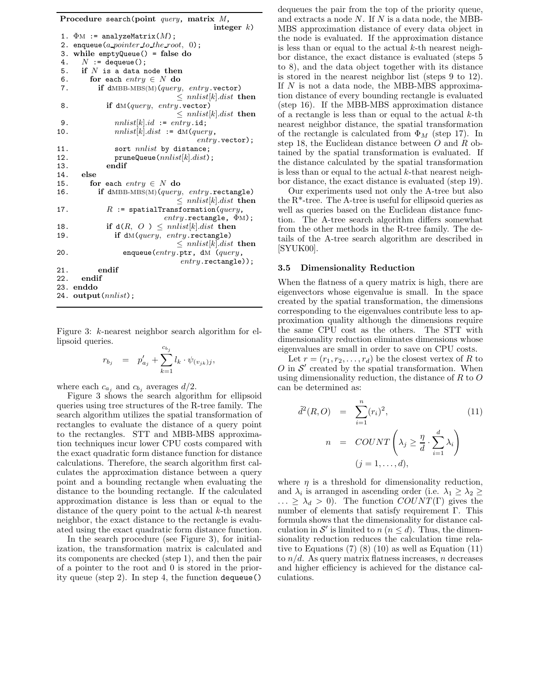| Procedure search(point <i>query</i> , matrix $M$ ,  |  |
|-----------------------------------------------------|--|
| integer $k$ )                                       |  |
| $\Phi$ M := analyzeMatrix(M);<br>1.                 |  |
| enqueue ( <i>a pointer to the root</i> , 0);<br>2.  |  |
| while $emptyQueue() = false do$<br>З.               |  |
| $N :=$ dequeue();<br>4.                             |  |
| 5.<br>if $N$ is a data node then                    |  |
| 6.<br>for each entry $\in N$ do                     |  |
| if dMBB-MBS(M)( $query$ , entry.vector)<br>7.       |  |
| $\leq$ nnlist[k].dist then                          |  |
| if $dM(query, entry. vector)$<br>8.                 |  |
| $\leq$ nnlist k .dist then                          |  |
| $nnlist[k].id := entry.id;$<br>9.                   |  |
| $nnlist[k].dist := dM(query,$<br>10.                |  |
| $entry$ . vector);                                  |  |
| 11.<br>sort <i>nnlist</i> by distance;              |  |
| 12.<br>pruneQueue (nnlist[k].dist);                 |  |
| endif<br>13.                                        |  |
| else<br>14.                                         |  |
| 15.<br>for each entry $\in N$ do                    |  |
| if $dMBB-MBS(M)(query, entry. rectangle)$<br>16.    |  |
| $\leq$ nnlist[k].dist then                          |  |
| $R$ := spatialTransformation( $query$ ,<br>17.      |  |
| $entry.\mathtt{rectangle}, \Phi M);$                |  |
| if $d(R, O) \leq \text{nnlist}[k].dist$ then<br>18. |  |
| if $dM(query, entry. rectangle)$<br>19.             |  |
| $\leq$ nnlist[k].dist then                          |  |
| enqueue (entry.ptr, dM (query,<br>20.               |  |
| $entry.\verb rectangle );$                          |  |
| endif<br>21.                                        |  |
| endif<br>22.                                        |  |
| 23. enddo                                           |  |
| 24. output $(nnlist)$ ;                             |  |
|                                                     |  |

Figure 3: k-nearest neighbor search algorithm for ellipsoid queries.

$$
r_{b_j} = p'_{a_j} + \sum_{k=1}^{c_{b_j}} l_k \cdot \psi_{(v_{jk})j},
$$

where each  $c_{a_j}$  and  $c_{b_j}$  averages  $d/2$ .

Figure 3 shows the search algorithm for ellipsoid queries using tree structures of the R-tree family. The search algorithm utilizes the spatial transformation of rectangles to evaluate the distance of a query point to the rectangles. STT and MBB-MBS approximation techniques incur lower CPU costs compared with the exact quadratic form distance function for distance calculations. Therefore, the search algorithm first calculates the approximation distance between a query point and a bounding rectangle when evaluating the distance to the bounding rectangle. If the calculated approximation distance is less than or equal to the distance of the query point to the actual k-th nearest neighbor, the exact distance to the rectangle is evaluated using the exact quadratic form distance function.

In the search procedure (see Figure 3), for initialization, the transformation matrix is calculated and its components are checked (step 1), and then the pair of a pointer to the root and 0 is stored in the priority queue (step 2). In step 4, the function dequeue()

dequeues the pair from the top of the priority queue, and extracts a node  $N$ . If  $N$  is a data node, the MBB-MBS approximation distance of every data object in the node is evaluated. If the approximation distance is less than or equal to the actual  $k$ -th nearest neighbor distance, the exact distance is evaluated (steps 5 to 8), and the data object together with its distance is stored in the nearest neighbor list (steps 9 to 12). If  $N$  is not a data node, the MBB-MBS approximation distance of every bounding rectangle is evaluated (step 16). If the MBB-MBS approximation distance of a rectangle is less than or equal to the actual  $k$ -th nearest neighbor distance, the spatial transformation of the rectangle is calculated from  $\Phi_M$  (step 17). In step 18, the Euclidean distance between  $O$  and  $R$  obtained by the spatial transformation is evaluated. If the distance calculated by the spatial transformation is less than or equal to the actual  $k$ -that nearest neighbor distance, the exact distance is evaluated (step 19).

Our experiments used not only the A-tree but also the R\*-tree. The A-tree is useful for ellipsoid queries as well as queries based on the Euclidean distance function. The A-tree search algorithm differs somewhat from the other methods in the R-tree family. The details of the A-tree search algorithm are described in [SYUK00].

#### **3.5 Dimensionality Reduction**

When the flatness of a query matrix is high, there are eigenvectors whose eigenvalue is small. In the space created by the spatial transformation, the dimensions corresponding to the eigenvalues contribute less to approximation quality although the dimensions require the same CPU cost as the others. The STT with dimensionality reduction eliminates dimensions whose eigenvalues are small in order to save on CPU costs.

Let  $r = (r_1, r_2, \ldots, r_d)$  be the closest vertex of R to  $O$  in  $S'$  created by the spatial transformation. When using dimensionality reduction, the distance of R to O can be determined as:

$$
\tilde{d}^2(R, O) = \sum_{i=1}^n (r_i)^2,
$$
\n
$$
n = COUNT\left(\lambda_j \ge \frac{\eta}{d} \cdot \sum_{i=1}^d \lambda_i\right)
$$
\n
$$
(j = 1, ..., d),
$$
\n(11)

where  $\eta$  is a threshold for dimensionality reduction, and  $\lambda_i$  is arranged in ascending order (i.e.  $\lambda_1 \geq \lambda_2 \geq$  $\ldots \geq \lambda_d > 0$ ). The function  $COUNT(\Gamma)$  gives the number of elements that satisfy requirement Γ. This formula shows that the dimensionality for distance calculation in S' is limited to  $n (n \leq d)$ . Thus, the dimensionality reduction reduces the calculation time relative to Equations  $(7)$   $(8)$   $(10)$  as well as Equation  $(11)$ to  $n/d$ . As query matrix flatness increases, n decreases and higher efficiency is achieved for the distance calculations.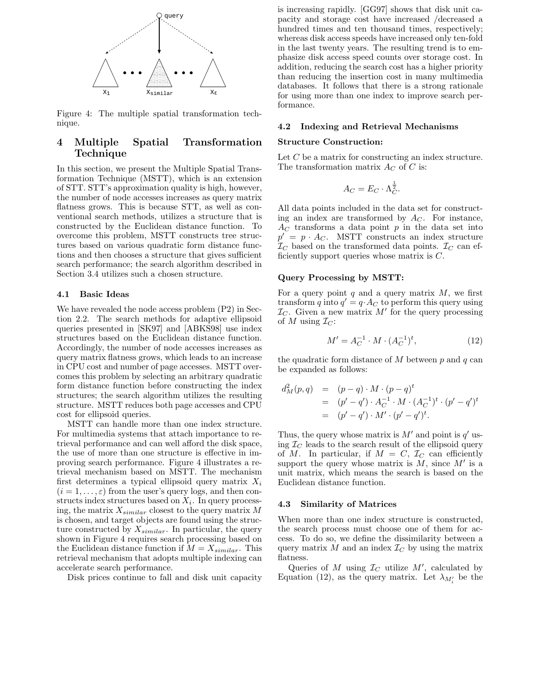

Figure 4: The multiple spatial transformation technique.

# **4 Multiple Spatial Transformation Technique**

In this section, we present the Multiple Spatial Transformation Technique (MSTT), which is an extension of STT. STT's approximation quality is high, however, the number of node accesses increases as query matrix flatness grows. This is because STT, as well as conventional search methods, utilizes a structure that is constructed by the Euclidean distance function. To overcome this problem, MSTT constructs tree structures based on various quadratic form distance functions and then chooses a structure that gives sufficient search performance; the search algorithm described in Section 3.4 utilizes such a chosen structure.

## **4.1 Basic Ideas**

We have revealed the node access problem (P2) in Section 2.2. The search methods for adaptive ellipsoid queries presented in [SK97] and [ABKS98] use index structures based on the Euclidean distance function. Accordingly, the number of node accesses increases as query matrix flatness grows, which leads to an increase in CPU cost and number of page accesses. MSTT overcomes this problem by selecting an arbitrary quadratic form distance function before constructing the index structures; the search algorithm utilizes the resulting structure. MSTT reduces both page accesses and CPU cost for ellipsoid queries.

MSTT can handle more than one index structure. For multimedia systems that attach importance to retrieval performance and can well afford the disk space, the use of more than one structure is effective in improving search performance. Figure 4 illustrates a retrieval mechanism based on MSTT. The mechanism first determines a typical ellipsoid query matrix X*<sup>i</sup>*  $(i = 1, \ldots, \varepsilon)$  from the user's query logs, and then constructs index structures based on X*i*. In query processing, the matrix X*similar* closest to the query matrix M is chosen, and target objects are found using the structure constructed by X*similar*. In particular, the query shown in Figure 4 requires search processing based on the Euclidean distance function if  $M = X_{similar}$ . This retrieval mechanism that adopts multiple indexing can accelerate search performance.

Disk prices continue to fall and disk unit capacity

is increasing rapidly. [GG97] shows that disk unit capacity and storage cost have increased /decreased a hundred times and ten thousand times, respectively; whereas disk access speeds have increased only ten-fold in the last twenty years. The resulting trend is to emphasize disk access speed counts over storage cost. In addition, reducing the search cost has a higher priority than reducing the insertion cost in many multimedia databases. It follows that there is a strong rationale for using more than one index to improve search performance.

#### **4.2 Indexing and Retrieval Mechanisms**

#### **Structure Construction:**

Let C be a matrix for constructing an index structure. The transformation matrix  $A_C$  of C is:

$$
A_C = E_C \cdot \Lambda_C^{\frac{1}{2}}.
$$

All data points included in the data set for constructing an index are transformed by  $A_C$ . For instance,  $A_C$  transforms a data point  $p$  in the data set into  $p' = p \cdot A_C$ . MSTT constructs an index structure  $\mathcal{I}_C$  based on the transformed data points.  $\mathcal{I}_C$  can efficiently support queries whose matrix is  $C$ .

#### **Query Processing by MSTT:**

For a query point  $q$  and a query matrix  $M$ , we first transform q into  $q' = q \cdot A_C$  to perform this query using  $\mathcal{I}_C$ . Given a new matrix  $M'$  for the query processing of M using  $\mathcal{I}_C$ :

$$
M' = A_C^{-1} \cdot M \cdot (A_C^{-1})^t,\tag{12}
$$

the quadratic form distance of  $M$  between  $p$  and  $q$  can be expanded as follows:

$$
d_M^2(p,q) = (p-q) \cdot M \cdot (p-q)^t
$$
  
=  $(p'-q') \cdot A_C^{-1} \cdot M \cdot (A_C^{-1})^t \cdot (p'-q')^t$   
=  $(p'-q') \cdot M' \cdot (p'-q')^t$ .

Thus, the query whose matrix is  $M'$  and point is  $q'$  using  $\mathcal{I}_C$  leads to the search result of the ellipsoid query of M. In particular, if  $M = C$ ,  $\mathcal{I}_C$  can efficiently support the query whose matrix is  $M$ , since  $M'$  is a unit matrix, which means the search is based on the Euclidean distance function.

#### **4.3 Similarity of Matrices**

When more than one index structure is constructed, the search process must choose one of them for access. To do so, we define the dissimilarity between a query matrix  $M$  and an index  $\mathcal{I}_C$  by using the matrix flatness.

Queries of M using  $\mathcal{I}_C$  utilize  $M'$ , calculated by Equation (12), as the query matrix. Let  $\lambda_{M_i'}$  be the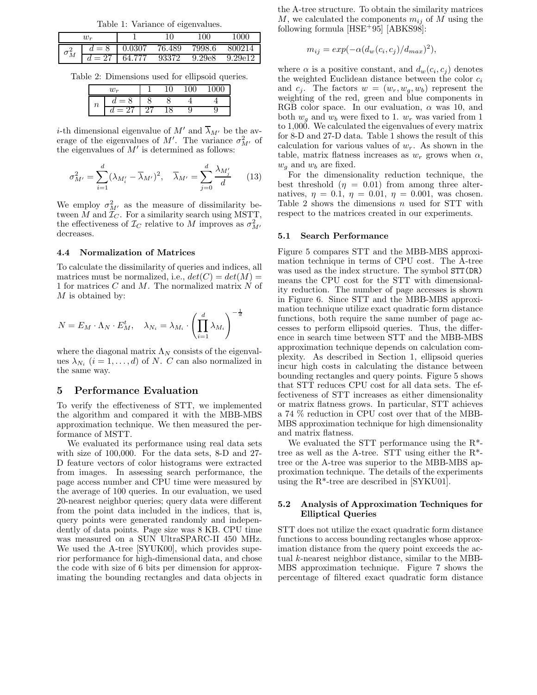Table 1: Variance of eigenvalues.

|              | $w_{\bm r}$ |        |        | 100    | .000    |
|--------------|-------------|--------|--------|--------|---------|
| $\sigma_M^2$ |             | 0.0307 | 76.489 | 7998.6 | 800214  |
|              | $=27$       | 64 777 | 93372  | 9.29e8 | 9.29e12 |

Table 2: Dimensions used for ellipsoid queries.

| $w_r$ |  |  |  |
|-------|--|--|--|
| n     |  |  |  |
|       |  |  |  |

*i*-th dimensional eigenvalue of  $M'$  and  $\lambda_{M'}$  be the average of the eigenvalues of M'. The variance  $\sigma_{M'}^2$  of the eigenvalues of  $M'$  is determined as follows:

$$
\sigma_{M'}^2 = \sum_{i=1}^d (\lambda_{M'_i} - \overline{\lambda}_{M'})^2, \quad \overline{\lambda}_{M'} = \sum_{j=0}^d \frac{\lambda_{M'_j}}{d} \qquad (13)
$$

We employ  $\sigma_{M'}^2$  as the measure of dissimilarity between  $M$  and  $\mathcal{I}_C$ . For a similarity search using MSTT, the effectiveness of  $\mathcal{I}_C$  relative to M improves as  $\sigma_{M'}^2$ decreases.

### **4.4 Normalization of Matrices**

To calculate the dissimilarity of queries and indices, all matrices must be normalized, i.e.,  $det(C) = det(M)$ 1 for matrices  $C$  and  $M$ . The normalized matrix  $N$  of M is obtained by:

$$
N = E_M \cdot \Lambda_N \cdot E_M^t, \quad \lambda_{N_i} = \lambda_{M_i} \cdot \left(\prod_{i=1}^d \lambda_{M_i}\right)^{-\frac{1}{d}}
$$

where the diagonal matrix  $\Lambda_N$  consists of the eigenvalues  $\lambda_{N_i}$  ( $i = 1, \ldots, d$ ) of N. C can also normalized in the same way.

#### **5 Performance Evaluation**

To verify the effectiveness of STT, we implemented the algorithm and compared it with the MBB-MBS approximation technique. We then measured the performance of MSTT.

We evaluated its performance using real data sets with size of 100,000. For the data sets, 8-D and 27- D feature vectors of color histograms were extracted from images. In assessing search performance, the page access number and CPU time were measured by the average of 100 queries. In our evaluation, we used 20-nearest neighbor queries; query data were different from the point data included in the indices, that is, query points were generated randomly and independently of data points. Page size was 8 KB. CPU time was measured on a SUN UltraSPARC-II 450 MHz. We used the A-tree [SYUK00], which provides superior performance for high-dimensional data, and chose the code with size of 6 bits per dimension for approximating the bounding rectangles and data objects in the A-tree structure. To obtain the similarity matrices M, we calculated the components  $m_{ij}$  of M using the following formula  $[HSE+95]$   $[ABKS98]$ :

$$
m_{ij} = exp(-\alpha (d_w(c_i, c_j)/d_{max})^2),
$$

where  $\alpha$  is a positive constant, and  $d_w(c_i, c_j)$  denotes the weighted Euclidean distance between the color  $c_i$ and  $c_j$ . The factors  $w = (w_r, w_g, w_b)$  represent the weighting of the red, green and blue components in RGB color space. In our evaluation,  $\alpha$  was 10, and both  $w_q$  and  $w_b$  were fixed to 1.  $w_r$  was varied from 1 to 1,000. We calculated the eigenvalues of every matrix for 8-D and 27-D data. Table 1 shows the result of this calculation for various values of w*r*. As shown in the table, matrix flatness increases as  $w_r$  grows when  $\alpha$ ,  $w_g$  and  $w_b$  are fixed.

For the dimensionality reduction technique, the best threshold  $(\eta = 0.01)$  from among three alternatives,  $\eta = 0.1$ ,  $\eta = 0.01$ ,  $\eta = 0.001$ , was chosen. Table 2 shows the dimensions n used for STT with respect to the matrices created in our experiments.

#### **5.1 Search Performance**

Figure 5 compares STT and the MBB-MBS approximation technique in terms of CPU cost. The A-tree was used as the index structure. The symbol STT(DR) means the CPU cost for the STT with dimensionality reduction. The number of page accesses is shown in Figure 6. Since STT and the MBB-MBS approximation technique utilize exact quadratic form distance functions, both require the same number of page accesses to perform ellipsoid queries. Thus, the difference in search time between STT and the MBB-MBS approximation technique depends on calculation complexity. As described in Section 1, ellipsoid queries incur high costs in calculating the distance between bounding rectangles and query points. Figure 5 shows that STT reduces CPU cost for all data sets. The effectiveness of STT increases as either dimensionality or matrix flatness grows. In particular, STT achieves a 74 % reduction in CPU cost over that of the MBB-MBS approximation technique for high dimensionality and matrix flatness.

We evaluated the STT performance using the R\* tree as well as the A-tree. STT using either the  $R^*$ tree or the A-tree was superior to the MBB-MBS approximation technique. The details of the experiments using the R\*-tree are described in [SYKU01].

#### **5.2 Analysis of Approximation Techniques for Elliptical Queries**

STT does not utilize the exact quadratic form distance functions to access bounding rectangles whose approximation distance from the query point exceeds the actual k-nearest neighbor distance, similar to the MBB-MBS approximation technique. Figure 7 shows the percentage of filtered exact quadratic form distance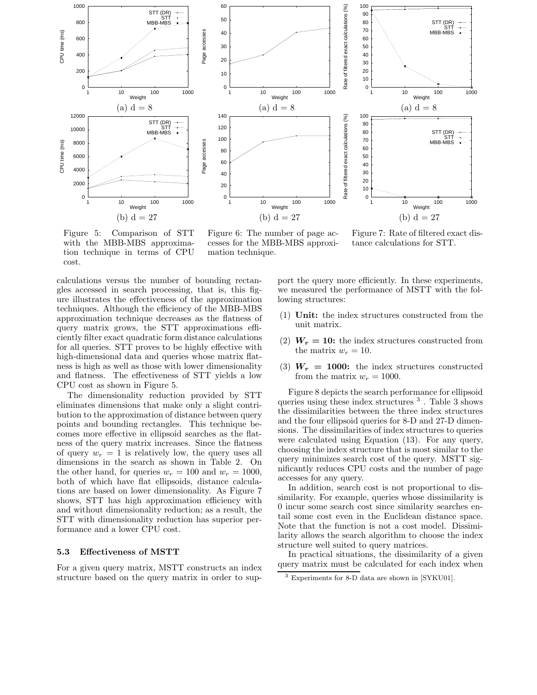

Figure 5: Comparison of STT with the MBB-MBS approximation technique in terms of CPU cost.

Figure 6: The number of page accesses for the MBB-MBS approximation technique.

Figure 7: Rate of filtered exact distance calculations for STT.

calculations versus the number of bounding rectangles accessed in search processing, that is, this figure illustrates the effectiveness of the approximation techniques. Although the efficiency of the MBB-MBS approximation technique decreases as the flatness of query matrix grows, the STT approximations efficiently filter exact quadratic form distance calculations for all queries. STT proves to be highly effective with high-dimensional data and queries whose matrix flatness is high as well as those with lower dimensionality and flatness. The effectiveness of STT yields a low CPU cost as shown in Figure 5.

The dimensionality reduction provided by STT eliminates dimensions that make only a slight contribution to the approximation of distance between query points and bounding rectangles. This technique becomes more effective in ellipsoid searches as the flatness of the query matrix increases. Since the flatness of query  $w_r = 1$  is relatively low, the query uses all dimensions in the search as shown in Table 2. On the other hand, for queries  $w_r = 100$  and  $w_r = 1000$ , both of which have flat ellipsoids, distance calculations are based on lower dimensionality. As Figure 7 shows, STT has high approximation efficiency with and without dimensionality reduction; as a result, the STT with dimensionality reduction has superior performance and a lower CPU cost.

#### **5.3Effectiveness of MSTT**

For a given query matrix, MSTT constructs an index structure based on the query matrix in order to support the query more efficiently. In these experiments, we measured the performance of MSTT with the following structures:

- (1) **Unit:** the index structures constructed from the unit matrix.
- (2)  $W_r = 10$ : the index structures constructed from the matrix  $w_r = 10$ .
- (3)  $W_r = 1000$ : the index structures constructed from the matrix  $w_r = 1000$ .

Figure 8 depicts the search performance for ellipsoid queries using these index structures <sup>3</sup> . Table 3 shows the dissimilarities between the three index structures and the four ellipsoid queries for 8-D and 27-D dimensions. The dissimilarities of index structures to queries were calculated using Equation (13). For any query, choosing the index structure that is most similar to the query minimizes search cost of the query. MSTT significantly reduces CPU costs and the number of page accesses for any query.

In addition, search cost is not proportional to dissimilarity. For example, queries whose dissimilarity is 0 incur some search cost since similarity searches entail some cost even in the Euclidean distance space. Note that the function is not a cost model. Dissimilarity allows the search algorithm to choose the index structure well suited to query matrices.

In practical situations, the dissimilarity of a given query matrix must be calculated for each index when

<sup>3</sup> Experiments for 8-D data are shown in [SYKU01].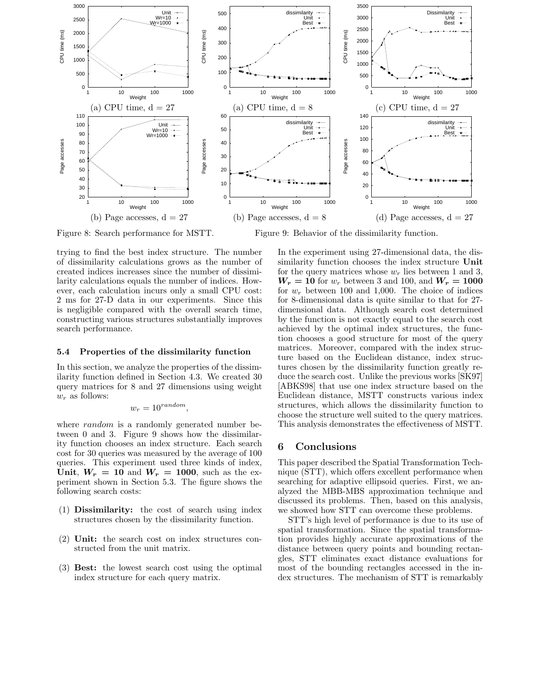

Figure 8: Search performance for MSTT. Figure 9: Behavior of the dissimilarity function.

trying to find the best index structure. The number of dissimilarity calculations grows as the number of created indices increases since the number of dissimilarity calculations equals the number of indices. However, each calculation incurs only a small CPU cost: 2 ms for 27-D data in our experiments. Since this is negligible compared with the overall search time, constructing various structures substantially improves search performance.

#### **5.4 Properties of the dissimilarity function**

In this section, we analyze the properties of the dissimilarity function defined in Section 4.3. We created 30 query matrices for 8 and 27 dimensions using weight w*<sup>r</sup>* as follows:

$$
w_r = 10^{random},
$$

where *random* is a randomly generated number between 0 and 3. Figure 9 shows how the dissimilarity function chooses an index structure. Each search cost for 30 queries was measured by the average of 100 queries. This experiment used three kinds of index, Unit,  $W_r = 10$  and  $W_r = 1000$ , such as the experiment shown in Section 5.3. The figure shows the following search costs:

- (1) **Dissimilarity:** the cost of search using index structures chosen by the dissimilarity function.
- (2) **Unit:** the search cost on index structures constructed from the unit matrix.
- (3) **Best:** the lowest search cost using the optimal index structure for each query matrix.

In the experiment using 27-dimensional data, the dissimilarity function chooses the index structure **Unit** for the query matrices whose  $w_r$  lies between 1 and 3,  $W_r = 10$  for  $w_r$  between 3 and 100, and  $W_r = 1000$ for  $w_r$  between 100 and 1,000. The choice of indices for 8-dimensional data is quite similar to that for 27 dimensional data. Although search cost determined by the function is not exactly equal to the search cost achieved by the optimal index structures, the function chooses a good structure for most of the query matrices. Moreover, compared with the index structure based on the Euclidean distance, index structures chosen by the dissimilarity function greatly reduce the search cost. Unlike the previous works [SK97] [ABKS98] that use one index structure based on the Euclidean distance, MSTT constructs various index structures, which allows the dissimilarity function to choose the structure well suited to the query matrices. This analysis demonstrates the effectiveness of MSTT.

## **6 Conclusions**

This paper described the Spatial Transformation Technique (STT), which offers excellent performance when searching for adaptive ellipsoid queries. First, we analyzed the MBB-MBS approximation technique and discussed its problems. Then, based on this analysis, we showed how STT can overcome these problems.

STT's high level of performance is due to its use of spatial transformation. Since the spatial transformation provides highly accurate approximations of the distance between query points and bounding rectangles, STT eliminates exact distance evaluations for most of the bounding rectangles accessed in the index structures. The mechanism of STT is remarkably